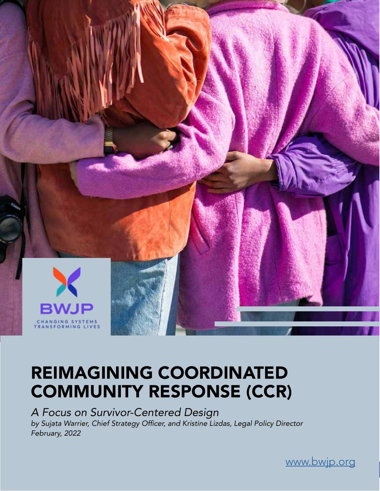

## REIMAGINING COORDINATED COMMUNITY RESPONSE (CCR)

*A Focus on Survivor-Centered Design* by Sujata Warrier, Chief Strategy Officer, and Kristine Lizdas, Legal Policy Director *February, 2022*

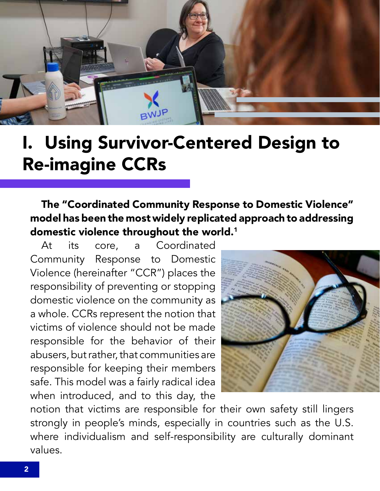

# I. Using Survivor-Centered Design to Re-imagine CCRs

#### The "Coordinated Community Response to Domestic Violence" model has been the most widely replicated approach to addressing domestic violence throughout the world.<sup>1</sup>

At its core, a Coordinated Community Response to Domestic Violence (hereinafter "CCR") places the responsibility of preventing or stopping domestic violence on the community as a whole. CCRs represent the notion that victims of violence should not be made responsible for the behavior of their abusers, but rather, that communities are responsible for keeping their members safe. This model was a fairly radical idea when introduced, and to this day, the



notion that victims are responsible for their own safety still lingers strongly in people's minds, especially in countries such as the U.S. where individualism and self-responsibility are culturally dominant values.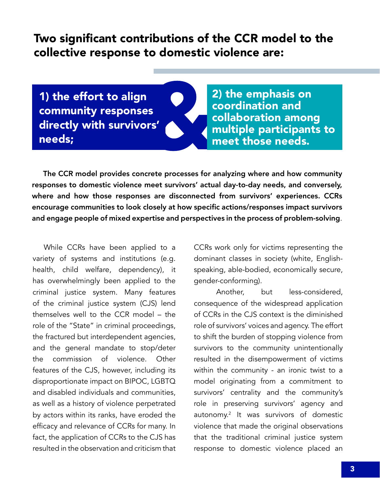Two significant contributions of the CCR model to the collective response to domestic violence are:

1) the effort to align community responses directly with survivors' needs;

2) the emphasis on coordination and collaboration among multiple participants to meet those needs.

The CCR model provides concrete processes for analyzing where and how community responses to domestic violence meet survivors' actual day-to-day needs, and conversely, where and how those responses are disconnected from survivors' experiences. CCRs encourage communities to look closely at how specific actions/responses impact survivors and engage people of mixed expertise and perspectives in the process of problem-solving.

While CCRs have been applied to a variety of systems and institutions (e.g. health, child welfare, dependency), it has overwhelmingly been applied to the criminal justice system. Many features of the criminal justice system (CJS) lend themselves well to the CCR model – the role of the "State" in criminal proceedings, the fractured but interdependent agencies, and the general mandate to stop/deter the commission of violence. Other features of the CJS, however, including its disproportionate impact on BIPOC, LGBTQ and disabled individuals and communities, as well as a history of violence perpetrated by actors within its ranks, have eroded the efficacy and relevance of CCRs for many. In fact, the application of CCRs to the CJS has resulted in the observation and criticism that CCRs work only for victims representing the dominant classes in society (white, Englishspeaking, able-bodied, economically secure, gender-conforming).

Another, but less-considered, consequence of the widespread application of CCRs in the CJS context is the diminished role of survivors' voices and agency. The effort to shift the burden of stopping violence from survivors to the community unintentionally resulted in the disempowerment of victims within the community - an ironic twist to a model originating from a commitment to survivors' centrality and the community's role in preserving survivors' agency and autonomy.2 It was survivors of domestic violence that made the original observations that the traditional criminal justice system response to domestic violence placed an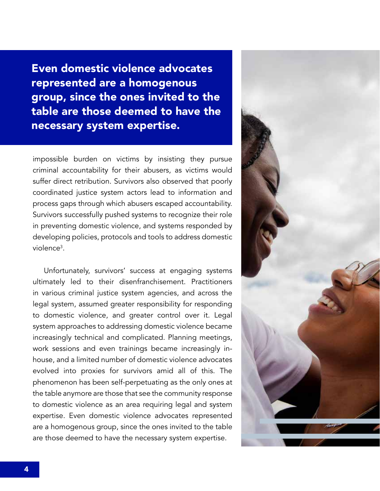Even domestic violence advocates represented are a homogenous group, since the ones invited to the table are those deemed to have the necessary system expertise.

impossible burden on victims by insisting they pursue criminal accountability for their abusers, as victims would suffer direct retribution. Survivors also observed that poorly coordinated justice system actors lead to information and process gaps through which abusers escaped accountability. Survivors successfully pushed systems to recognize their role in preventing domestic violence, and systems responded by developing policies, protocols and tools to address domestic violence<sup>3</sup>.

Unfortunately, survivors' success at engaging systems ultimately led to their disenfranchisement. Practitioners in various criminal justice system agencies, and across the legal system, assumed greater responsibility for responding to domestic violence, and greater control over it. Legal system approaches to addressing domestic violence became increasingly technical and complicated. Planning meetings, work sessions and even trainings became increasingly inhouse, and a limited number of domestic violence advocates evolved into proxies for survivors amid all of this. The phenomenon has been self-perpetuating as the only ones at the table anymore are those that see the community response to domestic violence as an area requiring legal and system expertise. Even domestic violence advocates represented are a homogenous group, since the ones invited to the table are those deemed to have the necessary system expertise.

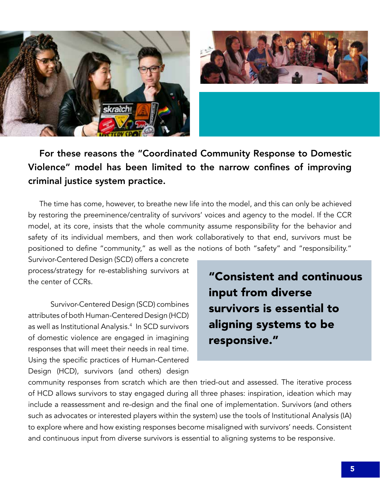



For these reasons the "Coordinated Community Response to Domestic Violence" model has been limited to the narrow confines of improving criminal justice system practice.

The time has come, however, to breathe new life into the model, and this can only be achieved by restoring the preeminence/centrality of survivors' voices and agency to the model. If the CCR model, at its core, insists that the whole community assume responsibility for the behavior and safety of its individual members, and then work collaboratively to that end, survivors must be positioned to define "community," as well as the notions of both "safety" and "responsibility."

Survivor-Centered Design (SCD) offers a concrete process/strategy for re-establishing survivors at the center of CCRs.

Survivor-Centered Design (SCD) combines attributes of both Human-Centered Design (HCD) as well as Institutional Analysis.4 In SCD survivors of domestic violence are engaged in imagining responses that will meet their needs in real time. Using the specific practices of Human-Centered Design (HCD), survivors (and others) design

"Consistent and continuous input from diverse survivors is essential to aligning systems to be responsive."

community responses from scratch which are then tried-out and assessed. The iterative process of HCD allows survivors to stay engaged during all three phases: inspiration, ideation which may include a reassessment and re-design and the final one of implementation. Survivors (and others such as advocates or interested players within the system) use the tools of Institutional Analysis (IA) to explore where and how existing responses become misaligned with survivors' needs. Consistent and continuous input from diverse survivors is essential to aligning systems to be responsive.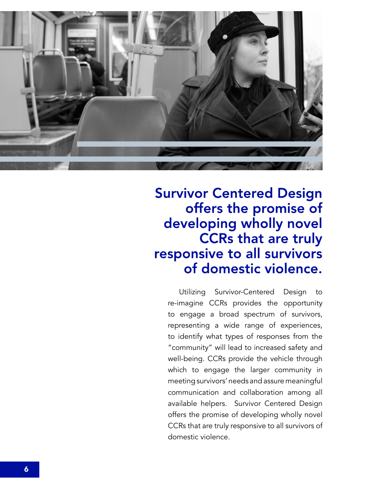

## **Survivor Centered Design** offers the promise of developing wholly novel **CCRs that are truly** responsive to all survivors of domestic violence.

Utilizing Survivor-Centered Design to re-imagine CCRs provides the opportunity to engage a broad spectrum of survivors, representing a wide range of experiences, to identify what types of responses from the "community" will lead to increased safety and well-being. CCRs provide the vehicle through which to engage the larger community in meeting survivors' needs and assure meaningful communication and collaboration among all available helpers. Survivor Centered Design offers the promise of developing wholly novel CCRs that are truly responsive to all survivors of domestic violence.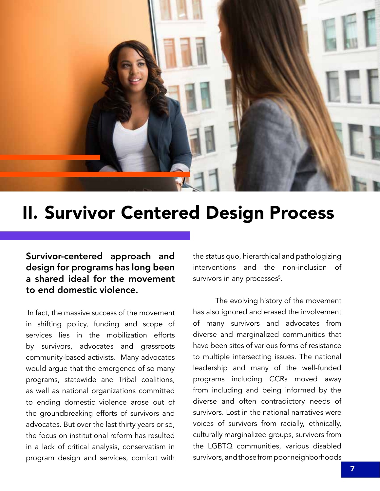

## II. Survivor Centered Design Process

Survivor-centered approach and design for programs has long been a shared ideal for the movement to end domestic violence.

 In fact, the massive success of the movement in shifting policy, funding and scope of services lies in the mobilization efforts by survivors, advocates and grassroots community-based activists. Many advocates would argue that the emergence of so many programs, statewide and Tribal coalitions, as well as national organizations committed to ending domestic violence arose out of the groundbreaking efforts of survivors and advocates. But over the last thirty years or so, the focus on institutional reform has resulted in a lack of critical analysis, conservatism in program design and services, comfort with

the status quo, hierarchical and pathologizing interventions and the non-inclusion of survivors in any processes $5$ .

The evolving history of the movement has also ignored and erased the involvement of many survivors and advocates from diverse and marginalized communities that have been sites of various forms of resistance to multiple intersecting issues. The national leadership and many of the well-funded programs including CCRs moved away from including and being informed by the diverse and often contradictory needs of survivors. Lost in the national narratives were voices of survivors from racially, ethnically, culturally marginalized groups, survivors from the LGBTQ communities, various disabled survivors, and those from poor neighborhoods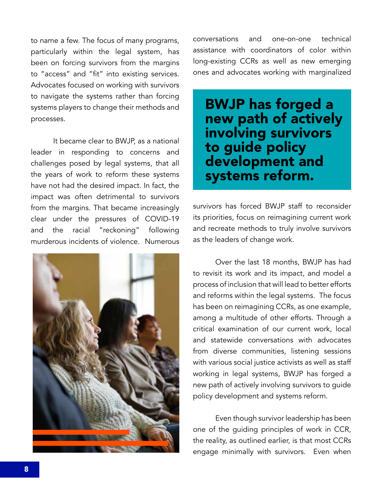to name a few. The focus of many programs, particularly within the legal system, has been on forcing survivors from the margins to "access" and "fit" into existing services. Advocates focused on working with survivors to navigate the systems rather than forcing systems players to change their methods and processes.

It became clear to BWJP, as a national leader in responding to concerns and challenges posed by legal systems, that all the years of work to reform these systems have not had the desired impact. In fact, the impact was often detrimental to survivors from the margins. That became increasingly clear under the pressures of COVID-19 and the racial "reckoning" following murderous incidents of violence. Numerous



conversations and one-on-one technical assistance with coordinators of color within long-existing CCRs as well as new emerging ones and advocates working with marginalized

**BWJP has forged a BYVJI Has TOT year a<br>new path of actively<br>involving survivors<br>to guide policy** development and systems reform.

survivors has forced BWJP staff to reconsider its priorities, focus on reimagining current work and recreate methods to truly involve survivors as the leaders of change work.

Over the last 18 months, BWJP has had to revisit its work and its impact, and model a process of inclusion that will lead to better efforts and reforms within the legal systems. The focus has been on reimagining CCRs, as one example, among a multitude of other efforts. Through a critical examination of our current work, local and statewide conversations with advocates from diverse communities, listening sessions with various social justice activists as well as staff working in legal systems, BWJP has forged a new path of actively involving survivors to guide policy development and systems reform.

Even though survivor leadership has been one of the guiding principles of work in CCR, the reality, as outlined earlier, is that most CCRs engage minimally with survivors. Even when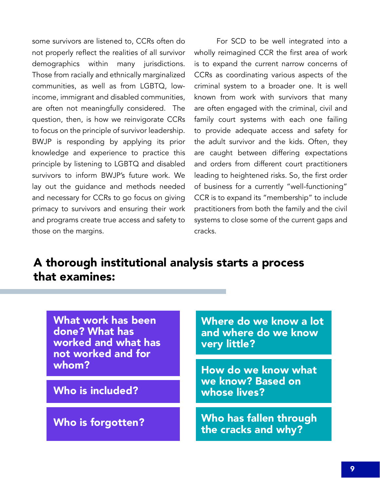some survivors are listened to, CCRs often do not properly reflect the realities of all survivor demographics within many jurisdictions. Those from racially and ethnically marginalized communities, as well as from LGBTQ, lowincome, immigrant and disabled communities, are often not meaningfully considered. The question, then, is how we reinvigorate CCRs to focus on the principle of survivor leadership. BWJP is responding by applying its prior knowledge and experience to practice this principle by listening to LGBTQ and disabled survivors to inform BWJP's future work. We lay out the guidance and methods needed and necessary for CCRs to go focus on giving primacy to survivors and ensuring their work and programs create true access and safety to those on the margins.

For SCD to be well integrated into a wholly reimagined CCR the first area of work is to expand the current narrow concerns of CCRs as coordinating various aspects of the criminal system to a broader one. It is well known from work with survivors that many are often engaged with the criminal, civil and family court systems with each one failing to provide adequate access and safety for the adult survivor and the kids. Often, they are caught between differing expectations and orders from different court practitioners leading to heightened risks. So, the first order of business for a currently "well-functioning" CCR is to expand its "membership" to include practitioners from both the family and the civil systems to close some of the current gaps and cracks.

#### A thorough institutional analysis starts a process that examines:

What work has been done? What has worked and what has not worked and for whom?

Who is included?

#### Who is forgotten?

Where do we know a lot and where do we know very little?

How do we know what we know? Based on whose lives?

Who has fallen through the cracks and why?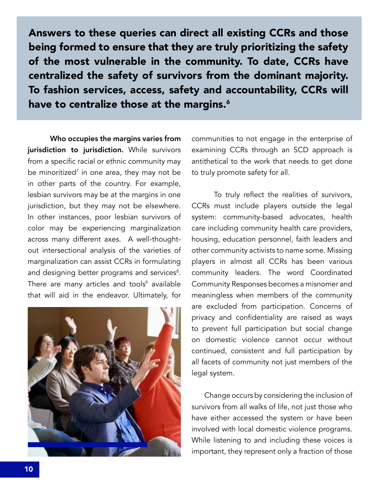Answers to these queries can direct all existing CCRs and those being formed to ensure that they are truly prioritizing the safety of the most vulnerable in the community. To date, CCRs have centralized the safety of survivors from the dominant majority. To fashion services, access, safety and accountability, CCRs will have to centralize those at the margins.<sup>6</sup>

Who occupies the margins varies from jurisdiction to jurisdiction. While survivors from a specific racial or ethnic community may be minoritized $^7$  in one area, they may not be in other parts of the country. For example, lesbian survivors may be at the margins in one jurisdiction, but they may not be elsewhere. In other instances, poor lesbian survivors of color may be experiencing marginalization across many different axes. A well-thoughtout intersectional analysis of the varieties of marginalization can assist CCRs in formulating and designing better programs and services<sup>8</sup>. There are many articles and tools $^{\circ}$  available that will aid in the endeavor. Ultimately, for



communities to not engage in the enterprise of examining CCRs through an SCD approach is antithetical to the work that needs to get done to truly promote safety for all.

To truly reflect the realities of survivors, CCRs must include players outside the legal system: community-based advocates, health care including community health care providers, housing, education personnel, faith leaders and other community activists to name some. Missing players in almost all CCRs has been various community leaders. The word Coordinated Community Responses becomes a misnomer and meaningless when members of the community are excluded from participation. Concerns of privacy and confidentiality are raised as ways to prevent full participation but social change on domestic violence cannot occur without continued, consistent and full participation by all facets of community not just members of the legal system.

Change occurs by considering the inclusion of survivors from all walks of life, not just those who have either accessed the system or have been involved with local domestic violence programs. While listening to and including these voices is important, they represent only a fraction of those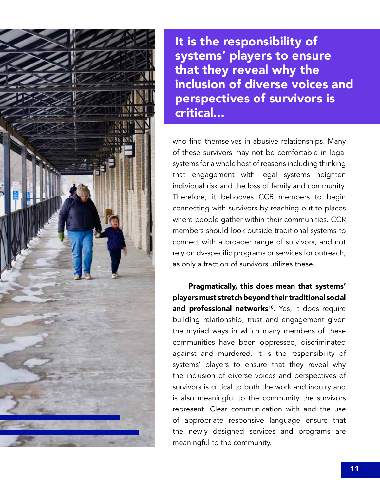

It is the responsibility of systems' players to ensure that they reveal why the inclusion of diverse voices and perspectives of survivors is critical...

who find themselves in abusive relationships. Many of these survivors may not be comfortable in legal systems for a whole host of reasons including thinking that engagement with legal systems heighten individual risk and the loss of family and community. Therefore, it behooves CCR members to begin connecting with survivors by reaching out to places where people gather within their communities. CCR members should look outside traditional systems to connect with a broader range of survivors, and not rely on dv-specific programs or services for outreach, as only a fraction of survivors utilizes these.

 Pragmatically, this does mean that systems' players must stretch beyond their traditional social and professional networks<sup>10</sup>. Yes, it does require building relationship, trust and engagement given the myriad ways in which many members of these communities have been oppressed, discriminated against and murdered. It is the responsibility of systems' players to ensure that they reveal why the inclusion of diverse voices and perspectives of survivors is critical to both the work and inquiry and is also meaningful to the community the survivors represent. Clear communication with and the use of appropriate responsive language ensure that the newly designed services and programs are meaningful to the community.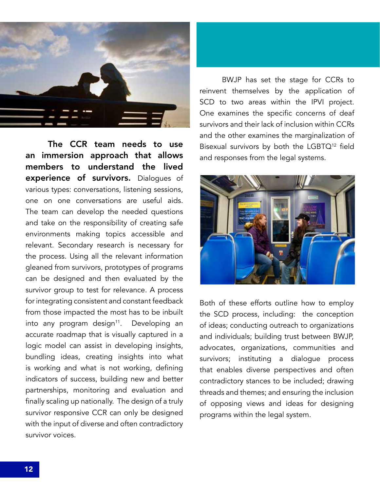

The CCR team needs to use an immersion approach that allows members to understand the lived experience of survivors. Dialoques of various types: conversations, listening sessions, one on one conversations are useful aids. The team can develop the needed questions and take on the responsibility of creating safe environments making topics accessible and relevant. Secondary research is necessary for the process. Using all the relevant information gleaned from survivors, prototypes of programs can be designed and then evaluated by the survivor group to test for relevance. A process for integrating consistent and constant feedback from those impacted the most has to be inbuilt into any program design<sup>11</sup>. Developing an accurate roadmap that is visually captured in a logic model can assist in developing insights, bundling ideas, creating insights into what is working and what is not working, defining indicators of success, building new and better partnerships, monitoring and evaluation and finally scaling up nationally. The design of a truly survivor responsive CCR can only be designed with the input of diverse and often contradictory survivor voices.

BWJP has set the stage for CCRs to reinvent themselves by the application of SCD to two areas within the IPVI project. One examines the specific concerns of deaf survivors and their lack of inclusion within CCRs and the other examines the marginalization of Bisexual survivors by both the LGBTQ<sup>12</sup> field and responses from the legal systems.



Both of these efforts outline how to employ the SCD process, including: the conception of ideas; conducting outreach to organizations and individuals; building trust between BWJP, advocates, organizations, communities and survivors; instituting a dialogue process that enables diverse perspectives and often contradictory stances to be included; drawing threads and themes; and ensuring the inclusion of opposing views and ideas for designing programs within the legal system.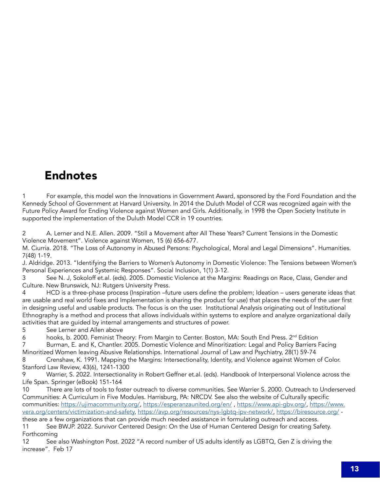### Endnotes

1 For example, this model won the Innovations in Government Award, sponsored by the Ford Foundation and the Kennedy School of Government at Harvard University. In 2014 the Duluth Model of CCR was recognized again with the Future Policy Award for Ending Violence against Women and Girls. Additionally, in 1998 the Open Society Institute in supported the implementation of the Duluth Model CCR in 19 countries.

2 A. Lerner and N.E. Allen. 2009. "Still a Movement after All These Years? Current Tensions in the Domestic Violence Movement". Violence against Women, 15 (6) 656-677.

M. Ciurria. 2018. "The Loss of Autonomy in Abused Persons: Psychological, Moral and Legal Dimensions". Humanities. 7(48) 1-19.

J. Aldridge. 2013. "Identifying the Barriers to Women's Autonomy in Domestic Violence: The Tensions between Women's Personal Experiences and Systemic Responses". Social Inclusion, 1(1) 3-12.

3 See N. J, Sokoloff et.al. (eds). 2005. Domestic Violence at the Margins: Readings on Race, Class, Gender and Culture. New Brunswick, NJ: Rutgers University Press.

4 HCD is a three-phase process (Inspiration –future users define the problem; Ideation – users generate ideas that are usable and real world fixes and Implementation is sharing the product for use) that places the needs of the user first in designing useful and usable products. The focus is on the user. Institutional Analysis originating out of Institutional Ethnography is a method and process that allows individuals within systems to explore and analyze organizational daily activities that are guided by internal arrangements and structures of power.

5 See Lerner and Allen above

6 hooks, b. 2000. Feminist Theory: From Margin to Center. Boston, MA: South End Press. 2nd Edition

Burman, E. and K, Chantler. 2005. Domestic Violence and Minoritization: Legal and Policy Barriers Facing Minoritized Women leaving Abusive Relationships. International Journal of Law and Psychiatry, 28(1) 59-74

8 Crenshaw, K. 1991. Mapping the Margins: Intersectionality, Identity, and Violence against Women of Color. Stanford Law Review, 43(6), 1241-1300

9 Warrier, S. 2022. Intersectionality in Robert Geffner et.al. (eds). Handbook of Interpersonal Violence across the Life Span. Springer (eBook) 151-164

10 There are lots of tools to foster outreach to diverse communities. See Warrier S. 2000. Outreach to Underserved Communities: A Curriculum in Five Modules. Harrisburg, PA: NRCDV. See also the website of Culturally specific communities:<https://ujimacommunity.org/>, <https://esperanzaunited.org/en/>, [https://www.api-gbv.org/,](https://www.api-gbv.org/) [https://www.](https://www.vera.org/centers/victimization-and-safety) [vera.org/centers/victimization-and-safety,](https://www.vera.org/centers/victimization-and-safety)<https://avp.org/resources/nys-lgbtq-ipv-network/>, <https://biresource.org/>-

these are a few organizations that can provide much needed assistance in formulating outreach and access. 11 See BWJP. 2022. Survivor Centered Design: On the Use of Human Centered Design for creating Safety. Forthcoming<br>12 See

See also Washington Post. 2022 "A record number of US adults identify as LGBTQ, Gen Z is driving the increase". Feb 17